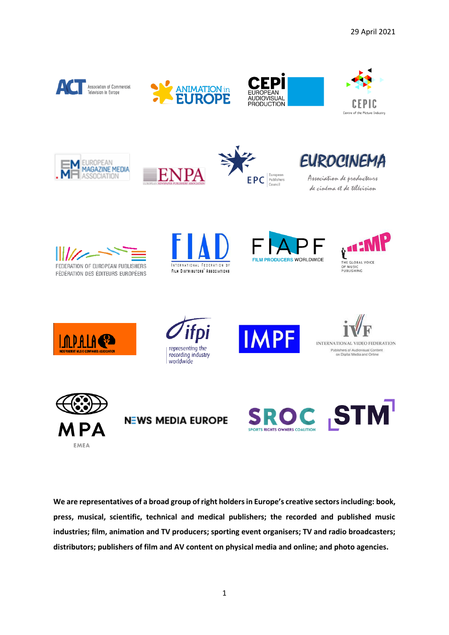















Association de producteurs de cinéma et de télévision



EMEA









**We are representatives of a broad group of right holders in Europe's creative sectors including: book, press, musical, scientific, technical and medical publishers; the recorded and published music industries; film, animation and TV producers; sporting event organisers; TV and radio broadcasters; distributors; publishers of film and AV content on physical media and online; and photo agencies.**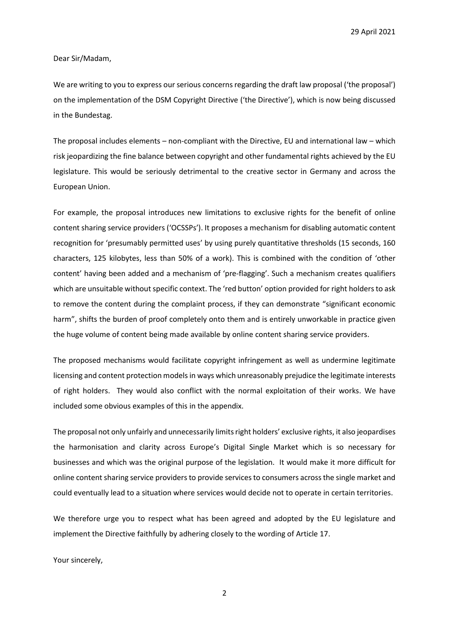29 April 2021

Dear Sir/Madam,

We are writing to you to express our serious concerns regarding the draft law proposal ('the proposal') on the implementation of the DSM Copyright Directive ('the Directive'), which is now being discussed in the Bundestag.

The proposal includes elements – non-compliant with the Directive, EU and international law – which risk jeopardizing the fine balance between copyright and other fundamental rights achieved by the EU legislature. This would be seriously detrimental to the creative sector in Germany and across the European Union.

For example, the proposal introduces new limitations to exclusive rights for the benefit of online content sharing service providers ('OCSSPs'). It proposes a mechanism for disabling automatic content recognition for 'presumably permitted uses' by using purely quantitative thresholds (15 seconds, 160 characters, 125 kilobytes, less than 50% of a work). This is combined with the condition of 'other content' having been added and a mechanism of 'pre-flagging'. Such a mechanism creates qualifiers which are unsuitable without specific context. The 'red button' option provided for right holders to ask to remove the content during the complaint process, if they can demonstrate "significant economic harm", shifts the burden of proof completely onto them and is entirely unworkable in practice given the huge volume of content being made available by online content sharing service providers.

The proposed mechanisms would facilitate copyright infringement as well as undermine legitimate licensing and content protection models in ways which unreasonably prejudice the legitimate interests of right holders. They would also conflict with the normal exploitation of their works. We have included some obvious examples of this in the appendix.

The proposal not only unfairly and unnecessarily limits right holders' exclusive rights, it also jeopardises the harmonisation and clarity across Europe's Digital Single Market which is so necessary for businesses and which was the original purpose of the legislation. It would make it more difficult for online content sharing service providersto provide services to consumers across the single market and could eventually lead to a situation where services would decide not to operate in certain territories.

We therefore urge you to respect what has been agreed and adopted by the EU legislature and implement the Directive faithfully by adhering closely to the wording of Article 17.

Your sincerely,

2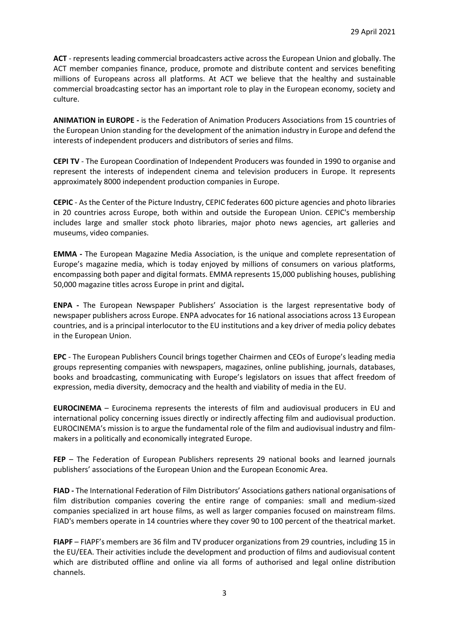**ACT** - represents leading commercial broadcasters active across the European Union and globally. The ACT member companies finance, produce, promote and distribute content and services benefiting millions of Europeans across all platforms. At ACT we believe that the healthy and sustainable commercial broadcasting sector has an important role to play in the European economy, society and culture.

**ANIMATION in EUROPE -** is the Federation of Animation Producers Associations from 15 countries of the European Union standing for the development of the animation industry in Europe and defend the interests of independent producers and distributors of series and films.

**CEPI TV** - The European Coordination of Independent Producers was founded in 1990 to organise and represent the interests of independent cinema and television producers in Europe. It represents approximately 8000 independent production companies in Europe.

**CEPIC** - As the Center of the Picture Industry, CEPIC federates 600 picture agencies and photo libraries in 20 countries across Europe, both within and outside the European Union. CEPIC's membership includes large and smaller stock photo libraries, major photo news agencies, art galleries and museums, video companies.

**EMMA -** The European Magazine Media Association, is the unique and complete representation of Europe's magazine media, which is today enjoyed by millions of consumers on various platforms, encompassing both paper and digital formats. EMMA represents 15,000 publishing houses, publishing 50,000 magazine titles across Europe in print and digital**.** 

**ENPA -** The European Newspaper Publishers' Association is the largest representative body of newspaper publishers across Europe. ENPA advocates for 16 national associations across 13 European countries, and is a principal interlocutor to the EU institutions and a key driver of media policy debates in the European Union.

**EPC** - The European Publishers Council brings together Chairmen and CEOs of Europe's leading media groups representing companies with newspapers, magazines, online publishing, journals, databases, books and broadcasting, communicating with Europe's legislators on issues that affect freedom of expression, media diversity, democracy and the health and viability of media in the EU.

**EUROCINEMA** – Eurocinema represents the interests of film and audiovisual producers in EU and international policy concerning issues directly or indirectly affecting film and audiovisual production. EUROCINEMA's mission is to argue the fundamental role of the film and audiovisual industry and filmmakers in a politically and economically integrated Europe.

**FEP** – The Federation of European Publishers represents 29 national books and learned journals publishers' associations of the European Union and the European Economic Area.

**FIAD -** The International Federation of Film Distributors' Associations gathers national organisations of film distribution companies covering the entire range of companies: small and medium-sized companies specialized in art house films, as well as larger companies focused on mainstream films. FIAD's members operate in 14 countries where they cover 90 to 100 percent of the theatrical market.

**FIAPF** – FIAPF's members are 36 film and TV producer organizations from 29 countries, including 15 in the EU/EEA. Their activities include the development and production of films and audiovisual content which are distributed offline and online via all forms of authorised and legal online distribution channels.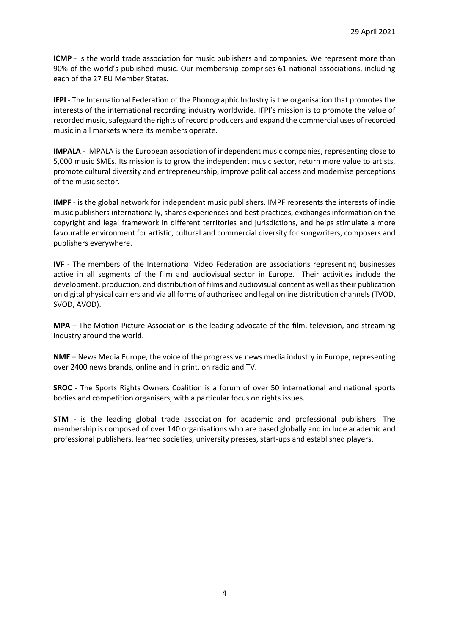**ICMP** - is the world trade association for music publishers and companies. We represent more than 90% of the world's published music. Our membership comprises 61 national associations, including each of the 27 EU Member States.

**IFPI** - The International Federation of the Phonographic Industry is the organisation that promotes the interests of the international recording industry worldwide. IFPI's mission is to promote the value of recorded music, safeguard the rights of record producers and expand the commercial uses of recorded music in all markets where its members operate.

**IMPALA** - IMPALA is the European association of independent music companies, representing close to 5,000 music SMEs. Its mission is to grow the independent music sector, return more value to artists, promote cultural diversity and entrepreneurship, improve political access and modernise perceptions of the music sector.

**IMPF** - is the global network for independent music publishers. IMPF represents the interests of indie music publishers internationally, shares experiences and best practices, exchanges information on the copyright and legal framework in different territories and jurisdictions, and helps stimulate a more favourable environment for artistic, cultural and commercial diversity for songwriters, composers and publishers everywhere.

**IVF** - The members of the International Video Federation are associations representing businesses active in all segments of the film and audiovisual sector in Europe. Their activities include the development, production, and distribution of films and audiovisual content as well as their publication on digital physical carriers and via all forms of authorised and legal online distribution channels (TVOD, SVOD, AVOD).

**MPA** – The Motion Picture Association is the leading advocate of the film, television, and streaming industry around the world.

**NME** – News Media Europe, the voice of the progressive news media industry in Europe, representing over 2400 news brands, online and in print, on radio and TV.

**SROC** - The Sports Rights Owners Coalition is a forum of over 50 international and national sports bodies and competition organisers, with a particular focus on rights issues.

**STM** - is the leading global trade association for academic and professional publishers. The membership is composed of over 140 organisations who are based globally and include academic and professional publishers, learned societies, university presses, start-ups and established players.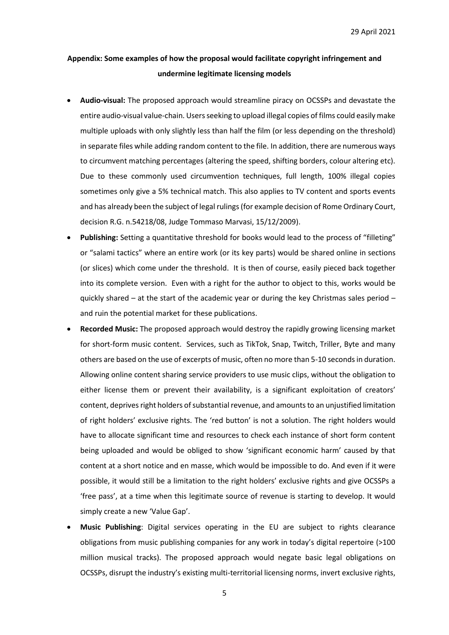## **Appendix: Some examples of how the proposal would facilitate copyright infringement and undermine legitimate licensing models**

- **Audio-visual:** The proposed approach would streamline piracy on OCSSPs and devastate the entire audio-visual value-chain. Users seeking to upload illegal copies of films could easily make multiple uploads with only slightly less than half the film (or less depending on the threshold) in separate files while adding random content to the file. In addition, there are numerous ways to circumvent matching percentages (altering the speed, shifting borders, colour altering etc). Due to these commonly used circumvention techniques, full length, 100% illegal copies sometimes only give a 5% technical match. This also applies to TV content and sports events and has already been the subject of legal rulings (for example decision of Rome Ordinary Court, decision R.G. n.54218/08, Judge Tommaso Marvasi, 15/12/2009).
- **Publishing:** Setting a quantitative threshold for books would lead to the process of "filleting" or "salami tactics" where an entire work (or its key parts) would be shared online in sections (or slices) which come under the threshold. It is then of course, easily pieced back together into its complete version. Even with a right for the author to object to this, works would be quickly shared – at the start of the academic year or during the key Christmas sales period – and ruin the potential market for these publications.
- **Recorded Music:** The proposed approach would destroy the rapidly growing licensing market for short-form music content. Services, such as TikTok, Snap, Twitch, Triller, Byte and many others are based on the use of excerpts of music, often no more than 5-10 seconds in duration. Allowing online content sharing service providers to use music clips, without the obligation to either license them or prevent their availability, is a significant exploitation of creators' content, deprives right holders of substantial revenue, and amounts to an unjustified limitation of right holders' exclusive rights. The 'red button' is not a solution. The right holders would have to allocate significant time and resources to check each instance of short form content being uploaded and would be obliged to show 'significant economic harm' caused by that content at a short notice and en masse, which would be impossible to do. And even if it were possible, it would still be a limitation to the right holders' exclusive rights and give OCSSPs a 'free pass', at a time when this legitimate source of revenue is starting to develop. It would simply create a new 'Value Gap'.
- **Music Publishing**: Digital services operating in the EU are subject to rights clearance obligations from music publishing companies for any work in today's digital repertoire (>100 million musical tracks). The proposed approach would negate basic legal obligations on OCSSPs, disrupt the industry's existing multi-territorial licensing norms, invert exclusive rights,